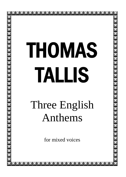# THOMAS TALLIS

# Three English Anthems

**NAMMANNAMANNAMANNAMANNAMANNAMAN** 

for mixed voices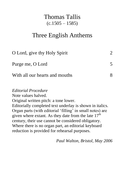### Thomas Tallis  $(c.1505 - 1585)$

## Three English Anthems

| O Lord, give thy Holy Spirit   |   |
|--------------------------------|---|
| Purge me, O Lord               | 5 |
| With all our hearts and mouths | R |

*Editorial Procedure*

Note values halved.

Original written pitch: a tone lower.

Editorially completed text underlay is shown in italics. Organ parts (with editorial 'filling' in small notes) are given where extant. As they date from the late  $17<sup>th</sup>$ century, their use cannot be considered obligatory. Where there is no organ part, an editorial keyboard reduction is provided for rehearsal purposes.

*Paul Walton, Bristol, May 2006*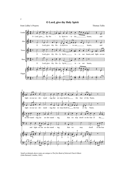from Lidley's Prayers

Thomas Tallis



Small accidentals above notes are unique to *The first Book of Selected Church Music* (John Barnard, London, 1641)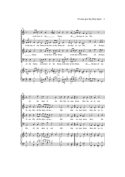

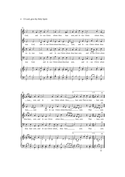4 O Lord, give thy Holy Spirit



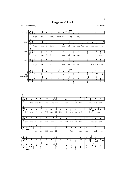**Purge me, O Lord**





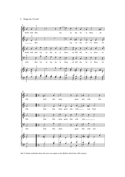6 Purge me, O Lord



Bar 9: Small accidentals above the stave are unique to the *Mulliner Book* (late 16th century)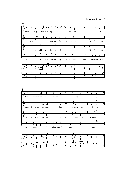

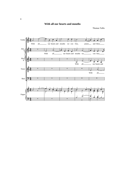Thomas Tallis

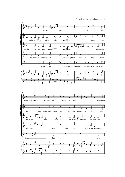With all our hearts and mouths 9



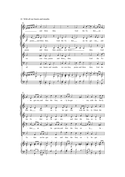

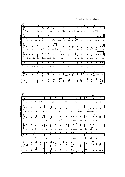

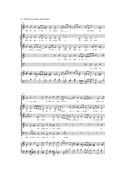